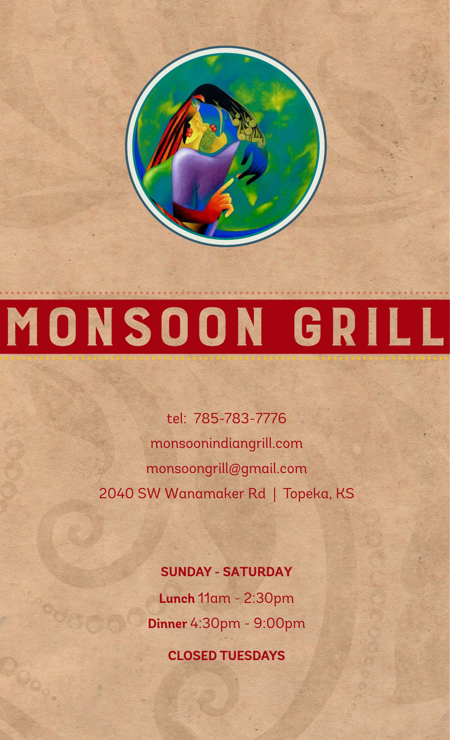# MONSOON GRILL

MONSOON

tel: 785-783-7776 monsoonindiangrill.com monsoongrill@gmail.com 2040 SW Wanamaker Rd | Topeka, KS

#### **SUNDAY - SATURDAY**

**Lunch** 11am - 2:30pm **Dinner** 4:30pm - 9:00pm

**CLOSED TUESDAYS**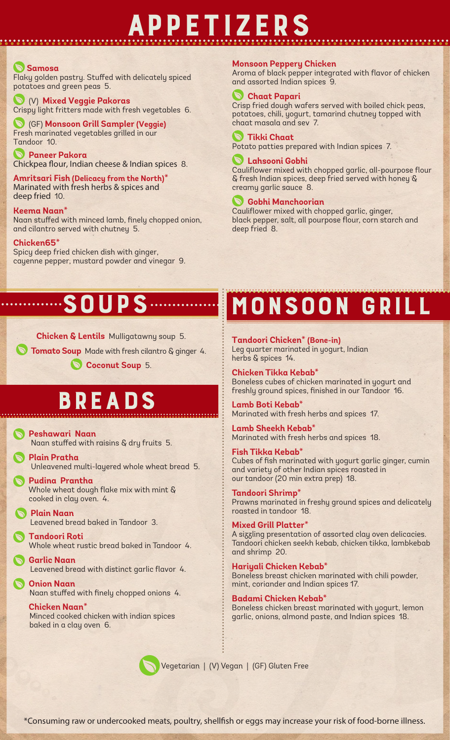# appetizers

#### **Samosa**

Flaky golden pastry. Stuffed with delicately spiced potatoes and green peas 5.

 (V) **Mixed Veggie Pakoras** Crispy light fritters made with fresh vegetables 6.

 (GF) **Monsoon Grill Sampler (Veggie)** Fresh marinated vegetables grilled in our Tandoor 10.

 **Paneer Pakora** Chickpea flour, Indian cheese & Indian spices 8.

**Amritsari Fish (Delicacy from the North)\*** Marinated with fresh herbs & spices and deep fried 10.

**Keema Naan\***

Naan stuffed with minced lamb, finely chopped onion, and cilantro served with chutney 5.

**Chicken65\*** Spicy deep fried chicken dish with ginger,

cayenne pepper, mustard powder and vinegar 9.

#### **Monsoon Peppery Chicken**

Aroma of black pepper integrated with flavor of chicken and assorted Indian spices 9.

#### **Chaat Papari**

Crisp fried dough wafers served with boiled chick peas, potatoes, chili, yogurt, tamarind chutney topped with chaat masala and sev 7.

 **Tikki Chaat**

Potato patties prepared with Indian spices 7.

#### **Lahsooni Gobhi**

Cauliflower mixed with chopped garlic, all-pourpose flour & fresh Indian spices, deep fried served with honey & creamy garlic sauce 8.

#### **Gobhi Manchoorian**

Cauliflower mixed with chopped garlic, ginger, black pepper, salt, all pourpose flour, corn starch and deep fried 8.

### soups

**Chicken & Lentils** Mulligatawny soup 5.

**Tomato Soup** Made with fresh cilantro & ginger 4.

 **Coconut Soup** 5.

# breads

 **Peshawari Naan** Naan stuffed with raisins & dry fruits 5.

 **Plain Pratha** Unleavened multi-layered whole wheat bread 5.

- **Pudina Prantha** Whole wheat dough flake mix with mint & cooked in clay oven. 4.
- **Plain Naan** Leavened bread baked in Tandoor 3.

 **Tandoori Roti** Whole wheat rustic bread baked in Tandoor 4.

 **Garlic Naan** Leavened bread with distinct garlic flavor 4.

 **Onion Naan**  Naan stuffed with finely chopped onions 4.

 **Chicken Naan\*** Minced cooked chicken with indian spices baked in a clay oven 6.



monsoon grill

**Tandoori Chicken\* (Bone-in)**  Leg quarter marinated in yogurt, Indian herbs & spices 14.

**Chicken Tikka Kebab\*** Boneless cubes of chicken marinated in yogurt and freshly ground spices, finished in our Tandoor 16.

**Lamb Boti Kebab\*** Marinated with fresh herbs and spices 17.

**Lamb Sheekh Kebab\*** Marinated with fresh herbs and spices 18.

**Fish Tikka Kebab\*** Cubes of fish marinated with yogurt garlic ginger, cumin and variety of other Indian spices roasted in our tandoor (20 min extra prep) 18.

**Tandoori Shrimp\*** Prawns marinated in freshy ground spices and delicately roasted in tandoor 18.

**Mixed Grill Platter\*** A sizzling presentation of assorted clay oven delicacies. Tandoori chicken seekh kebab, chicken tikka, lambkebab and shrimp 20.

**Hariyali Chicken Kebab\*** Boneless breast chicken marinated with chili powder, mint, coriander and Indian spices 17.

**Badami Chicken Kebab\*** Boneless chicken breast marinated with yogurt, lemon garlic, onions, almond paste, and Indian spices 18.

Vegetarian | (V) Vegan | (GF) Gluten Free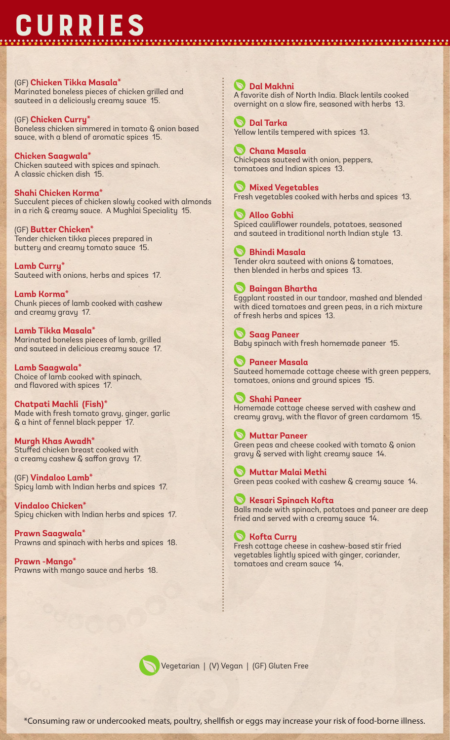# **CURRIES**

#### (GF) **Chicken Tikka Masala\***

Marinated boneless pieces of chicken grilled and sauteed in a deliciously creamy sauce 15.

(GF) **Chicken Curry\*** Boneless chicken simmered in tomato & onion based sauce, with a blend of aromatic spices 15.

**Chicken Saagwala\*** Chicken sauteed with spices and spinach. A classic chicken dish 15.

**Shahi Chicken Korma\*** Succulent pieces of chicken slowly cooked with almonds in a rich & creamy sauce. A Mughlai Speciality 15.

(GF) **Butter Chicken\*** Tender chicken tikka pieces prepared in buttery and creamy tomato sauce 15.

**Lamb Curry\*** Sauteed with onions, herbs and spices 17.

**Lamb Korma\*** Chunk pieces of lamb cooked with cashew and creamy gravy 17.

**Lamb Tikka Masala\*** Marinated boneless pieces of lamb, grilled and sauteed in delicious creamy sauce 17.

**Lamb Saagwala\*** Choice of lamb cooked with spinach, and flavored with spices 17.

**Chatpati Machli (Fish)\*** Made with fresh tomato gravy, ginger, garlic & a hint of fennel black pepper 17.

**Murgh Khas Awadh\*** Stuffed chicken breast cooked with a creamy cashew & saffon gravy 17.

(GF) **Vindaloo Lamb\*** Spicy lamb with Indian herbs and spices 17.

**Vindaloo Chicken\*** Spicy chicken with Indian herbs and spices 17.

**Prawn Saagwala\*** Prawns and spinach with herbs and spices 18.

**Prawn -Mango\*** Prawns with mango sauce and herbs 18.

#### **Dal Makhni**

A favorite dish of North India. Black lentils cooked overnight on a slow fire, seasoned with herbs 13.

 **Dal Tarka** Yellow lentils tempered with spices 13.

 **Chana Masala** Chickpeas sauteed with onion, peppers, tomatoes and Indian spices 13.

 **Mixed Vegetables** Fresh vegetables cooked with herbs and spices 13.

 **Alloo Gobhi** Spiced cauliflower roundels, potatoes, seasoned and sauteed in traditional north Indian style 13.

 **Bhindi Masala** Tender okra sauteed with onions & tomatoes, then blended in herbs and spices 13.

#### **Baingan Bhartha**

Eggplant roasted in our tandoor, mashed and blended with diced tomatoes and green peas, in a rich mixture of fresh herbs and spices 13.

 **Saag Paneer** Baby spinach with fresh homemade paneer 15.

 **Paneer Masala** Sauteed homemade cottage cheese with green peppers, tomatoes, onions and ground spices 15.

 **Shahi Paneer** Homemade cottage cheese served with cashew and creamy gravy, with the flavor of green cardamom 15.

 **Muttar Paneer** Green peas and cheese cooked with tomato & onion gravy & served with light creamy sauce 14.

 **Muttar Malai Methi** Green peas cooked with cashew & creamy sauce 14.

 **Kesari Spinach Kofta** Balls made with spinach, potatoes and paneer are deep fried and served with a creamy sauce 14.

#### **Kofta Curry**

Fresh cottage cheese in cashew-based stir fried vegetables lightly spiced with ginger, coriander, tomatoes and cream sauce 14.



Vegetarian | (V) Vegan | (GF) Gluten Free

\*Consuming raw or undercooked meats, poultry, shellfish or eggs may increase your risk of food-borne illness.